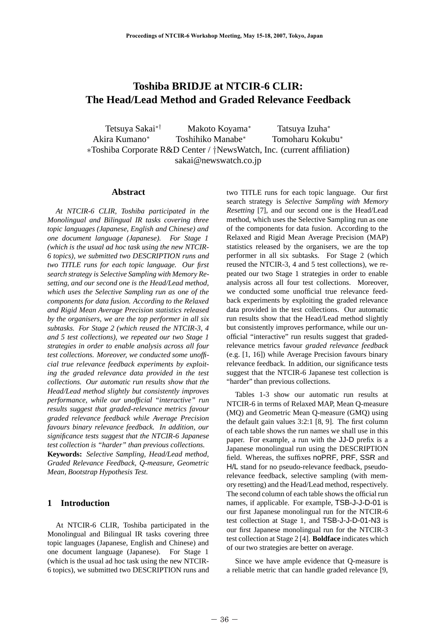# **Toshiba BRIDJE at NTCIR-6 CLIR: The Head/Lead Method and Graded Relevance Feedback**

Tetsuya Sakai∗† Makoto Koyama<sup>∗</sup> Tatsuya Izuha<sup>∗</sup> Akira Kumano<sup>∗</sup> Toshihiko Manabe<sup>∗</sup> Tomoharu Kokubu<sup>∗</sup> ∗Toshiba Corporate R&D Center / †NewsWatch, Inc. (current affiliation) sakai@newswatch.co.jp

#### **Abstract**

*At NTCIR-6 CLIR, Toshiba participated in the Monolingual and Bilingual IR tasks covering three topic languages (Japanese, English and Chinese) and one document language (Japanese). For Stage 1 (which is the usual ad hoc task using the new NTCIR-6 topics), we submitted two DESCRIPTION runs and two TITLE runs for each topic language. Our first search strategy is Selective Sampling with Memory Resetting, and our second one is the Head/Lead method, which uses the Selective Sampling run as one of the components for data fusion. According to the Relaxed and Rigid Mean Average Precision statistics released by the organisers, we are the top performer in all six subtasks. For Stage 2 (which reused the NTCIR-3, 4 and 5 test collections), we repeated our two Stage 1 strategies in order to enable analysis across all four test collections. Moreover, we conducted some unofficial true relevance feedback experiments by exploiting the graded relevance data provided in the test collections. Our automatic run results show that the Head/Lead method slightly but consistently improves performance, while our unofficial "interactive" run results suggest that graded-relevance metrics favour graded relevance feedback while Average Precision favours binary relevance feedback. In addition, our significance tests suggest that the NTCIR-6 Japanese test collection is "harder" than previous collections.* **Keywords:** *Selective Sampling, Head/Lead method, Graded Relevance Feedback, Q-measure, Geometric Mean, Bootstrap Hypothesis Test.*

# **1 Introduction**

At NTCIR-6 CLIR, Toshiba participated in the Monolingual and Bilingual IR tasks covering three topic languages (Japanese, English and Chinese) and one document language (Japanese). For Stage 1 (which is the usual ad hoc task using the new NTCIR-6 topics), we submitted two DESCRIPTION runs and two TITLE runs for each topic language. Our first search strategy is *Selective Sampling with Memory Resetting* [7], and our second one is the Head/Lead method, which uses the Selective Sampling run as one of the components for data fusion. According to the Relaxed and Rigid Mean Average Precision (MAP) statistics released by the organisers, we are the top performer in all six subtasks. For Stage 2 (which reused the NTCIR-3, 4 and 5 test collections), we repeated our two Stage 1 strategies in order to enable analysis across all four test collections. Moreover, we conducted some unofficial true relevance feedback experiments by exploiting the graded relevance data provided in the test collections. Our automatic run results show that the Head/Lead method slightly but consistently improves performance, while our unofficial "interactive" run results suggest that gradedrelevance metrics favour *graded relevance feedback* (e.g. [1, 16]) while Average Precision favours binary relevance feedback. In addition, our significance tests suggest that the NTCIR-6 Japanese test collection is "harder" than previous collections.

Tables 1-3 show our automatic run results at NTCIR-6 in terms of Relaxed MAP, Mean Q-measure (MQ) and Geometric Mean Q-measure (GMQ) using the default gain values 3:2:1 [8, 9]. The first column of each table shows the run names we shall use in this paper. For example, a run with the JJ-D prefix is a Japanese monolingual run using the DESCRIPTION field. Whereas, the suffixes noPRF, PRF, SSR and H/L stand for no pseudo-relevance feedback, pseudorelevance feedback, selective sampling (with memory resetting) and the Head/Lead method, respectively. The second column of each table shows the official run names, if applicable. For example, TSB-J-J-D-01 is our first Japanese monolingual run for the NTCIR-6 test collection at Stage 1, and TSB-J-J-D-01-N3 is our first Japanese monolingual run for the NTCIR-3 test collection at Stage 2 [4]. **Boldface** indicates which of our two strategies are better on average.

Since we have ample evidence that Q-measure is a reliable metric that can handle graded relevance [9,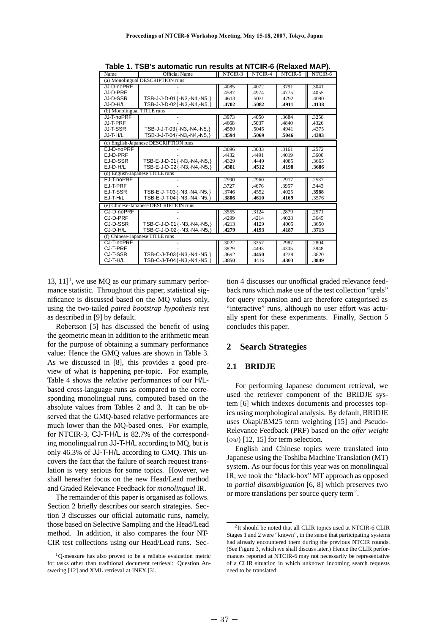| Name                       | <b>Official Name</b>                  | NTCIR-3 | NTCIR-4 | NTCIR-5 | NTCIR-6 |  |  |
|----------------------------|---------------------------------------|---------|---------|---------|---------|--|--|
|                            | (a) Monolingual DESCRIPTION runs      |         |         |         |         |  |  |
| JJ-D-noPRF                 |                                       | .4085   | .4072   | .3791   | .3041   |  |  |
| JJ-D-PRF                   |                                       | .4587   | .4974   | .4775   | .4055   |  |  |
| JJ-D-SSR                   | TSB-J-J-D-01{-N3,-N4,-N5,}            | .4613   | .5031   | .4792   | .4090   |  |  |
| JJ-D-H/L                   | TSB-J-J-D-02{-N3,-N4,-N5,}            | .4702   | .5082   | .4911   | .4138   |  |  |
| (b) Monolingual TITLE runs |                                       |         |         |         |         |  |  |
| JJ-T-noPRF                 |                                       | .3973   | .4050   | .3684   | .3258   |  |  |
| JJ-T-PRF                   |                                       | .4668   | .5037   | .4840   | .4326   |  |  |
| JJ-T-SSR                   | TSB-J-J-T-03{-N3,-N4,-N5,}            | .4580   | .5045   | .4941   | .4375   |  |  |
| JJ-T-H/L                   | TSB-J-J-T-04 {-N3,-N4,-N5,}           | .4594   | .5069   | .5046   | .4393   |  |  |
|                            | (c) English-Japanese DESCRIPTION runs |         |         |         |         |  |  |
| EJ-D-noPRF                 |                                       | .3696   | .3033   | .3161   | .2572   |  |  |
| EJ-D-PRF                   |                                       | .4432   | .4491   | .4019   | .3600   |  |  |
| EJ-D-SSR                   | TSB-E-J-D-01{-N3,-N4,-N5,}            | .4329   | .4449   | .4085   | .3665   |  |  |
| EJ-D-H/L                   | TSB-E-J-D-02 {-N3,-N4,-N5,}           | .4381   | .4512   | .4198   | .3686   |  |  |
|                            | (d) English-Japanese TITLE runs       |         |         |         |         |  |  |
| EJ-T-noPRF                 |                                       | .2990   | .2960   | .2917   | .2537   |  |  |
| EJ-T-PRF                   |                                       | .3727   | .4676   | .3957   | .3443   |  |  |
| EJ-T-SSR                   | TSB-E-J-T-03{-N3,-N4,-N5,}            | .3746   | .4552   | .4025   | .3588   |  |  |
| EJ-T-H/L                   | TSB-E-J-T-04 {-N3,-N4,-N5,}           | .3806   | .4610   | .4169   | .3576   |  |  |
|                            | (e) Chinese-Japanese DESCRIPTION runs |         |         |         |         |  |  |
| CJ-D-noPRF                 |                                       | 3555    | .3124   | .2879   | .2571   |  |  |
| CJ-D-PRF                   |                                       | .4299   | .4214   | .4028   | .3645   |  |  |
| CJ-D-SSR                   | TSB-C-J-D-01{-N3,-N4,-N5,}            | .4213   | .4129   | .4005   | .3650   |  |  |
| CJ-D-H/L                   | TSB-C-J-D-02{-N3,-N4,-N5,}            | .4279   | .4193   | .4187   | .3713   |  |  |
|                            | (f) Chinese-Japanese TITLE runs       |         |         |         |         |  |  |
| CJ-T-noPRF                 |                                       | .3022   | .3357   | .2987   | .2804   |  |  |
| CJ-T-PRF                   |                                       | .3829   | .4493   | .4305   | .3848   |  |  |
| CJ-T-SSR                   | TSB-C-J-T-03{-N3,-N4,-N5,}            | .3692   | .4450   | .4238   | .3820   |  |  |
| CJ-T-H/L                   | TSB-C-J-T-04 {-N3,-N4,-N5,}           | .3850   | .4416   | .4303   | .3849   |  |  |
|                            |                                       |         |         |         |         |  |  |

**Table 1. TSB's automatic run results at NTCIR-6 (Relaxed MAP).**

13,  $11$ <sup>1</sup>, we use MQ as our primary summary performance statistic. Throughout this paper, statistical significance is discussed based on the MQ values only, using the two-tailed *paired bootstrap hypothesis test* as described in [9] by default.

Robertson [5] has discussed the benefit of using the geometric mean in addition to the arithmetic mean for the purpose of obtaining a summary performance value: Hence the GMQ values are shown in Table 3. As we discussed in [8], this provides a good preview of what is happening per-topic. For example, Table 4 shows the *relative* performances of our H/Lbased cross-language runs as compared to the corresponding monolingual runs, computed based on the absolute values from Tables 2 and 3. It can be observed that the GMQ-based relative performances are much lower than the MQ-based ones. For example, for NTCIR-3, CJ-T-H/L is 82.7% of the corresponding monolingual run JJ-T-H/L according to MQ, but is only 46.3% of JJ-T-H/L according to GMQ. This uncovers the fact that the failure of search request translation is very serious for some topics. However, we shall hereafter focus on the new Head/Lead method and Graded Relevance Feedback for *monolingual* IR.

The remainder of this paper is organised as follows. Section 2 briefly describes our search strategies. Section 3 discusses our official automatic runs, namely, those based on Selective Sampling and the Head/Lead method. In addition, it also compares the four NT-CIR test collections using our Head/Lead runs. Section 4 discusses our unofficial graded relevance feedback runs which make use of the test collection "qrels" for query expansion and are therefore categorised as "interactive" runs, although no user effort was actually spent for these experiments. Finally, Section 5 concludes this paper.

#### **2 Search Strategies**

#### **2.1 BRIDJE**

For performing Japanese document retrieval, we used the retriever component of the BRIDJE system [6] which indexes documents and processes topics using morphological analysis. By default, BRIDJE uses Okapi/BM25 term weighting [15] and Pseudo-Relevance Feedback (PRF) based on the *offer weight*  $(ow)$  [12, 15] for term selection.

English and Chinese topics were translated into Japanese using the Toshiba Machine Translation (MT) system. As our focus for this year was on monolingual IR, we took the "black-box" MT approach as opposed to *partial disambiguation* [6, 8] which preserves two or more translations per source query term<sup>2</sup>.

<sup>&</sup>lt;sup>1</sup>O-measure has also proved to be a reliable evaluation metric for tasks other than traditional document retrieval: Question Answering [12] and XML retrieval at INEX [3].

<sup>&</sup>lt;sup>2</sup>It should be noted that all CLIR topics used at NTCIR-6 CLIR Stages 1 and 2 were "known", in the sense that participating systems had already encountered them during the previous NTCIR rounds. (See Figure 3, which we shall discuss later.) Hence the CLIR performances reported at NTCIR-6 may not necessarily be representative of a CLIR situation in which unknown incoming search requests need to be translated.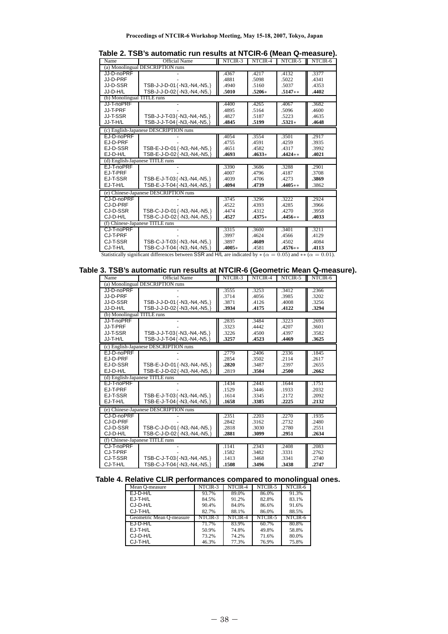| Name                                                                                                                     | <b>Official Name</b>                  | NTCIR-3  | NTCIR-4  | NTCIR-5   | NTCIR-6 |
|--------------------------------------------------------------------------------------------------------------------------|---------------------------------------|----------|----------|-----------|---------|
|                                                                                                                          | (a) Monolingual DESCRIPTION runs      |          |          |           |         |
| JJ-D-noPRF                                                                                                               |                                       | .4367    | .4217    | .4132     | .3377   |
| JJ-D-PRF                                                                                                                 |                                       | .4881    | .5098    | .5022     | .4341   |
| JJ-D-SSR                                                                                                                 | TSB-J-J-D-01 {-N3,-N4,-N5,}           | .4940    | .5160    | .5037     | .4353   |
| JJ-D-H/L                                                                                                                 | TSB-J-J-D-02{-N3,-N4,-N5,}            | .5010    | $.5206*$ | $.5147**$ | .4402   |
| (b) Monolingual TITLE runs                                                                                               |                                       |          |          |           |         |
| JJ-T-noPRF                                                                                                               |                                       | .4400    | .4265    | .4067     | .3682   |
| JJ-T-PRF                                                                                                                 |                                       | .4895    | .5164    | .5096     | .4600   |
| JJ-T-SSR                                                                                                                 | TSB-J-J-T-03{-N3,-N4,-N5,}            | .4827    | .5187    | .5223     | .4635   |
| JJ-T-H/L                                                                                                                 | TSB-J-J-T-04 {-N3,-N4,-N5,}           | .4845    | .5199    | $.5321*$  | .4648   |
|                                                                                                                          | (c) English-Japanese DESCRIPTION runs |          |          |           |         |
| EJ-D-noPRF                                                                                                               |                                       | .4054    | .3554    | .3501     | .2917   |
| EJ-D-PRF                                                                                                                 |                                       | .4755    | .4591    | .4259     | .3935   |
| EJ-D-SSR                                                                                                                 | TSB-E-J-D-01 {-N3,-N4,-N5, }          | .4651    | .4582    | .4317     | .3992   |
| EJ-D-H/L                                                                                                                 | TSB-E-J-D-02{-N3,-N4,-N5,}            | .4693    | $.4633*$ | $.4424**$ | .4021   |
|                                                                                                                          | (d) English-Japanese TITLE runs       |          |          |           |         |
| EJ-T-noPRF                                                                                                               |                                       | .3390    | .3686    | .3288     | .2901   |
| EJ-T-PRF                                                                                                                 |                                       | .4007    | .4796    | .4187     | .3708   |
| EJ-T-SSR                                                                                                                 | TSB-E-J-T-03{-N3,-N4,-N5,}            | .4039    | .4706    | .4273     | .3869   |
| EJ-T-H/L                                                                                                                 | TSB-E-J-T-04 {-N3,-N4,-N5,}           | .4094    | .4739    | $.4405**$ | .3862   |
|                                                                                                                          | (e) Chinese-Japanese DESCRIPTION runs |          |          |           |         |
| CJ-D-noPRF                                                                                                               |                                       | .3745    | .3296    | .3222     | .2924   |
| CJ-D-PRF                                                                                                                 |                                       | .4522    | .4393    | .4285     | .3966   |
| CJ-D-SSR                                                                                                                 | TSB-C-J-D-01{-N3,-N4,-N5,}            | .4474    | .4312    | .4270     | .3958   |
| CJ-D-H/L                                                                                                                 | TSB-C-J-D-02{-N3,-N4,-N5,}            | .4527    | $.4375*$ | $.4456**$ | .4033   |
|                                                                                                                          | (f) Chinese-Japanese TITLE runs       |          |          |           |         |
| CJ-T-noPRF                                                                                                               |                                       | .3315    | .3600    | .3401     | .3211   |
| CJ-T-PRF                                                                                                                 |                                       | .3997    | .4624    | .4566     | .4129   |
| CJ-T-SSR                                                                                                                 | TSB-C-J-T-03{-N3,-N4,-N5,}            | .3897    | .4609    | .4502     | .4084   |
| CJ-T-H/L                                                                                                                 | TSB-C-J-T-04 {-N3,-N4,-N5,}           | $.4005*$ | .4581    | $.4576**$ | .4113   |
| Statistically significant differences between SSR and H/L are indicated by $*(\alpha = 0.05)$ and $** (\alpha = 0.01)$ . |                                       |          |          |           |         |

**Table 2. TSB's automatic run results at NTCIR-6 (Mean Q-measure).**

**Table 3. TSB's automatic run results at NTCIR-6 (Geometric Mean Q-measure).**

| Name                       | <b>Official Name</b>                  | NTCIR-3 | NTCIR-4 | NTCIR-5 | NTCIR-6 |
|----------------------------|---------------------------------------|---------|---------|---------|---------|
|                            | (a) Monolingual DESCRIPTION runs      |         |         |         |         |
| JJ-D-noPRF                 |                                       | .3555   | 3253    | .3412   | .2366   |
| JJ-D-PRF                   |                                       | .3714   | .4056   | .3985   | .3202   |
| JJ-D-SSR                   | TSB-J-J-D-01{-N3,-N4,-N5,}            | .3871   | .4126   | .4008   | .3256   |
| JJ-D-H/L                   | TSB-J-J-D-02{-N3,-N4,-N5,}            | .3934   | .4175   | .4122   | .3294   |
| (b) Monolingual TITLE runs |                                       |         |         |         |         |
| JJ-T-noPRF                 |                                       | .2835   | .3484   | .3223   | .2693   |
| JJ-T-PRF                   |                                       | .3323   | .4442   | .4207   | .3601   |
| JJ-T-SSR                   | TSB-J-J-T-03 { -N3 .- N4 .- N5 . }    | .3226   | .4500   | .4397   | .3582   |
| JJ-T-H/L                   | TSB-J-J-T-04 {-N3,-N4,-N5,}           | .3257   | .4523   | .4469   | .3625   |
|                            | (c) English-Japanese DESCRIPTION runs |         |         |         |         |
| EJ-D-noPRF                 |                                       | .2779   | .2406   | .2336   | .1845   |
| EJ-D-PRF                   |                                       | .2854   | .3502   | .2114   | .2617   |
| EJ-D-SSR                   | TSB-E-J-D-01 {-N3,-N4,-N5,}           | .2820   | .3487   | .2397   | .2655   |
| EJ-D-H/L                   | TSB-E-J-D-02{-N3,-N4,-N5,}            | .2819   | .3504   | .2500   | .2662   |
|                            | (d) English-Japanese TITLE runs       |         |         |         |         |
| EJ-T-noPRF                 |                                       | .1434   | .2443   | .1644   | .1751   |
| EJ-T-PRF                   |                                       | .1529   | .3446   | .1933   | .2032   |
| EJ-T-SSR                   | TSB-E-J-T-03{-N3,-N4,-N5,}            | .1614   | .3345   | .2172   | .2092   |
| EJ-T-H/L                   | TSB-E-J-T-04 {-N3,-N4,-N5,}           | .1658   | .3385   | .2225   | .2132   |
|                            | (e) Chinese-Japanese DESCRIPTION runs |         |         |         |         |
| CJ-D-noPRF                 |                                       | .2351   | .2203   | .2270   | .1935   |
| CJ-D-PRF                   |                                       | .2842   | .3162   | .2732   | .2480   |
| CJ-D-SSR                   | TSB-C-J-D-01 {-N3,-N4,-N5,}           | .2818   | .3030   | .2780   | .2551   |
| CJ-D-H/L                   | TSB-C-J-D-02{-N3,-N4,-N5,}            | .2881   | .3099   | .2951   | .2634   |
|                            | (f) Chinese-Japanese TITLE runs       |         |         |         |         |
| CJ-T-noPRF                 |                                       | .1141   | .2343   | .2408   | .2083   |
| CJ-T-PRF                   |                                       | .1582   | .3482   | .3331   | .2762   |
| CJ-T-SSR                   | TSB-C-J-T-03{-N3,-N4,-N5,}            | .1413   | .3468   | .3341   | .2740   |
| CJ-T-H/L                   | TSB-C-J-T-04 {-N3,-N4,-N5,}           | .1508   | .3496   | .3438   | .2747   |

# **Table 4. Relative CLIR performances compared to monolingual ones.**

| Mean O-measure           | NTCIR-3 | NTCIR-4 | NTCIR-5 | NTCIR-6                     |
|--------------------------|---------|---------|---------|-----------------------------|
| $EJ-D-H/L$               | 93.7%   | 89.0%   | 86.0%   | 91.3%                       |
| $EJ-T-H/L$               | 84.5%   | 91.2%   | 82.8%   | 83.1%                       |
| CJ-D-H/L                 | 90.4%   | 84.0%   | 86.6%   | 91.6%                       |
| CJ-T-H/L                 | 82.7%   | 88.1%   | 86.0%   | 88.5%                       |
| Geometric Mean O-measure | NTCIR-3 | NTCIR-4 | NTCIR-5 | $\overline{\text{NTCIR-6}}$ |
| $EJ-D-H/L$               | 71.7%   | 83.9%   | 60.7%   | 80.8%                       |
| EJ-T-H/L                 | 50.9%   | 74.8%   | 49.8%   | 58.8%                       |
| CJ-D-H/L                 | 73.2%   | 74.2%   | 71.6%   | 80.0%                       |
| CJ-T-H/L                 | 46.3%   | 77.3%   | 76.9%   | 75.8%                       |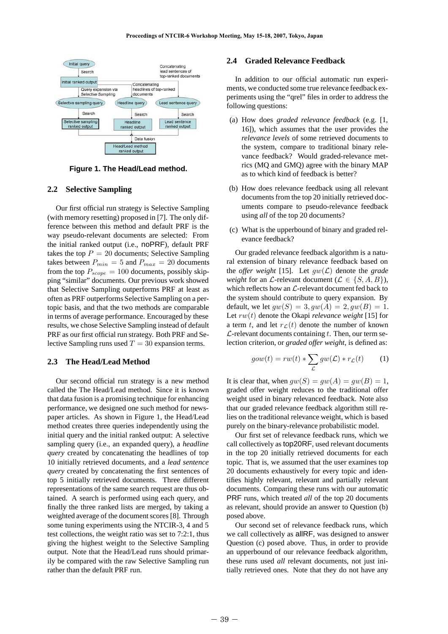

**Figure 1. The Head/Lead method.**

#### **2.2 Selective Sampling**

Our first official run strategy is Selective Sampling (with memory resetting) proposed in [7]. The only difference between this method and default PRF is the way pseudo-relevant documents are selected: From the initial ranked output (i.e., noPRF), default PRF takes the top  $P = 20$  documents; Selective Sampling takes between  $P_{min} = 5$  and  $P_{max} = 20$  documents from the top  $P_{scope} = 100$  documents, possibly skipping "similar" documents. Our previous work showed that Selective Sampling outperforms PRF at least as often as PRF outperforms Selective Sampling on a pertopic basis, and that the two methods are comparable in terms of average performance. Encouraged by these results, we chose Selective Sampling instead of default PRF as our first official run strategy. Both PRF and Selective Sampling runs used  $T = 30$  expansion terms.

## **2.3 The Head/Lead Method**

Our second official run strategy is a new method called the The Head/Lead method. Since it is known that data fusion is a promising technique for enhancing performance, we designed one such method for newspaper articles. As shown in Figure 1, the Head/Lead method creates three queries independently using the initial query and the initial ranked output: A selective sampling query (i.e., an expanded query), a *headline query* created by concatenating the headlines of top 10 initially retrieved documents, and a *lead sentence query* created by concatenating the first sentences of top 5 initially retrieved documents. Three different representations of the same search request are thus obtained. A search is performed using each query, and finally the three ranked lists are merged, by taking a weighted average of the document scores [8]. Through some tuning experiments using the NTCIR-3, 4 and 5 test collections, the weight ratio was set to 7:2:1, thus giving the highest weight to the Selective Sampling output. Note that the Head/Lead runs should primarily be compared with the raw Selective Sampling run rather than the default PRF run.

## **2.4 Graded Relevance Feedback**

In addition to our official automatic run experiments, we conducted some true relevance feedback experiments using the "qrel" files in order to address the following questions:

- (a) How does *graded relevance feedback* (e.g. [1, 16]), which assumes that the user provides the *relevance levels* of some retrieved documents to the system, compare to traditional binary relevance feedback? Would graded-relevance metrics (MQ and GMQ) agree with the binary MAP as to which kind of feedback is better?
- (b) How does relevance feedback using all relevant documents from the top 20 initially retrieved documents compare to pseudo-relevance feedback using *all* of the top 20 documents?
- (c) What is the upperbound of binary and graded relevance feedback?

Our graded relevance feedback algorithm is a natural extension of binary relevance feedback based on the *offer weight* [15]. Let  $gw(\mathcal{L})$  denote the *grade weight* for an *L*-relevant document ( $\mathcal{L} \in \{S, A, B\}$ ), which reflects how an  $\mathcal{L}$ -relevant document fed back to the system should contribute to query expansion. By default, we let  $gw(S)=3, gw(A)=2, gw(B)=1.$ Let rw(t) denote the Okapi *relevance weight* [15] for a term t, and let  $r<sub>L</sub>(t)$  denote the number of known  $\mathcal{L}\text{-relevant documents containing } t.$  Then, our term selection criterion, or *graded offer weight*, is defined as:

$$
gow(t) = rw(t) * \sum_{\mathcal{L}} gw(\mathcal{L}) * r_{\mathcal{L}}(t)
$$
 (1)

It is clear that, when  $gw(S) = gw(A) = gw(B) = 1$ , graded offer weight reduces to the traditional offer weight used in binary relevanced feedback. Note also that our graded relevance feedback algorithm still relies on the traditional relevance weight, which is based purely on the binary-relevance probabilistic model.

Our first set of relevance feedback runs, which we call collectively as top20RF, used relevant documents in the top 20 initially retrieved documents for each topic. That is, we assumed that the user examines top 20 documents exhaustively for every topic and identifies highly relevant, relevant and partially relevant documents. Comparing these runs with our automatic PRF runs, which treated *all* of the top 20 documents as relevant, should provide an answer to Question (b) posed above.

Our second set of relevance feedback runs, which we call collectively as allRF, was designed to answer Question (c) posed above. Thus, in order to provide an upperbound of our relevance feedback algorithm, these runs used *all* relevant documents, not just initially retrieved ones. Note that they do not have any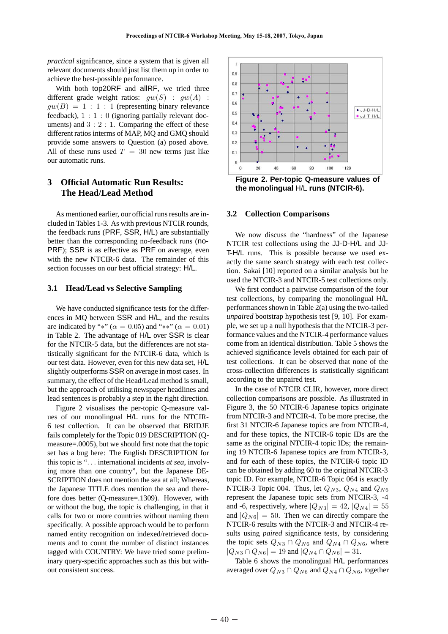*practical* significance, since a system that is given all relevant documents should just list them up in order to achieve the best-possible performance.

With both top20RF and allRF, we tried three different grade weight ratios:  $gw(S)$  :  $gw(A)$  :  $gw(B)=1:1:1$  (representing binary relevance feedback),  $1:1:0$  (ignoring partially relevant documents) and  $3:2:1$ . Comparing the effect of these different ratios interms of MAP, MQ and GMQ should provide some answers to Question (a) posed above. All of these runs used  $T = 30$  new terms just like our automatic runs.

# **3 Official Automatic Run Results: The Head/Lead Method**

As mentioned earlier, our official runs results are included in Tables 1-3. As with previous NTCIR rounds, the feedback runs (PRF, SSR, H/L) are substantially better than the corresponding no-feedback runs (no-PRF); SSR is as effective as PRF on average, even with the new NTCIR-6 data. The remainder of this section focusses on our best official strategy: H/L.

#### **3.1 Head/Lead vs Selective Sampling**

We have conducted significance tests for the differences in MQ between SSR and H/L, and the results are indicated by "\*" ( $\alpha = 0.05$ ) and "\*\*" ( $\alpha = 0.01$ ) in Table 2. The advantage of H/L over SSR is clear for the NTCIR-5 data, but the differences are not statistically significant for the NTCIR-6 data, which is our test data. However, even for this new data set, H/L slightly outperforms SSR on average in most cases. In summary, the effect of the Head/Lead method is small, but the approach of utilising newspaper headlines and lead sentences is probably a step in the right direction.

Figure 2 visualises the per-topic Q-measure values of our monolingual H/L runs for the NTCIR-6 test collection. It can be observed that BRIDJE fails completely for the Topic 019 DESCRIPTION (Qmeasure=.0005), but we should first note that the topic set has a bug here: The English DESCRIPTION for this topic is "... international incidents *at sea*, involving more than one country", but the Japanese DE-SCRIPTION does not mention the sea at all; Whereas, the Japanese TITLE does mention the sea and therefore does better (Q-measure=.1309). However, with or without the bug, the topic *is* challenging, in that it calls for two or more countries without naming them specifically. A possible approach would be to perform named entity recognition on indexed/retrieved documents and to count the number of distinct instances tagged with COUNTRY: We have tried some preliminary query-specific approaches such as this but without consistent success.



**Figure 2. Per-topic Q-measure values of the monolingual** H/L **runs (NTCIR-6).**

#### **3.2 Collection Comparisons**

We now discuss the "hardness" of the Japanese NTCIR test collections using the JJ-D-H/L and JJ-T-H/L runs. This is possible because we used exactly the same search strategy with each test collection. Sakai [10] reported on a similar analysis but he used the NTCIR-3 and NTCIR-5 test collections only.

We first conduct a pairwise comparison of the four test collections, by comparing the monolingual H/L performances shown in Table 2(a) using the two-tailed *unpaired* bootstrap hypothesis test [9, 10]. For example, we set up a null hypothesis that the NTCIR-3 performance values and the NTCIR-4 performance values come from an identical distribution. Table 5 shows the achieved significance levels obtained for each pair of test collections. It can be observed that none of the cross-collection differences is statistically significant according to the unpaired test.

In the case of NTCIR CLIR, however, more direct collection comparisons are possible. As illustrated in Figure 3, the 50 NTCIR-6 Japanese topics originate from NTCIR-3 and NTCIR-4. To be more precise, the first 31 NTCIR-6 Japanese topics are from NTCIR-4, and for these topics, the NTCIR-6 topic IDs are the same as the original NTCIR-4 topic IDs; the remaining 19 NTCIR-6 Japanese topics are from NTCIR-3, and for each of these topics, the NTCIR-6 topic ID can be obtained by adding 60 to the original NTCIR-3 topic ID. For example, NTCIR-6 Topic 064 is exactly NTCIR-3 Topic 004. Thus, let  $Q_{N3}$ ,  $Q_{N4}$  and  $Q_{N6}$ represent the Japanese topic sets from NTCIR-3, -4 and -6, respectively, where  $|Q_{N3}| = 42$ ,  $|Q_{N4}| = 55$ and  $|Q_{N6}| = 50$ . Then we can directly compare the NTCIR-6 results with the NTCIR-3 and NTCIR-4 results using *paired* significance tests, by considering the topic sets  $Q_{N3} \cap Q_{N6}$  and  $Q_{N4} \cap Q_{N6}$ , where  $|Q_{N3} \cap Q_{N6}| = 19$  and  $|Q_{N4} \cap Q_{N6}| = 31$ .

Table 6 shows the monolingual H/L performances averaged over  $Q_{N3} \cap Q_{N6}$  and  $Q_{N4} \cap Q_{N6}$ , together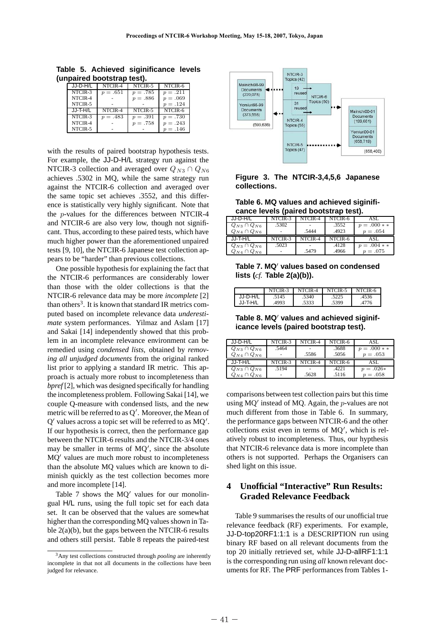| unpaired bootstrap test). |          |          |          |            |  |  |
|---------------------------|----------|----------|----------|------------|--|--|
|                           | JJ-D-H/L | NTCIR-4  | NTCIR-5  | NTCIR-6    |  |  |
|                           | NTCIR-3  | $p=.651$ | $p=.785$ | $p = .211$ |  |  |
|                           | NTCIR-4  |          | $p=.886$ | $p=.069$   |  |  |
|                           | NTCIR-5  |          |          | $p=.124$   |  |  |
|                           | JJ-T-H/L | NTCIR-4  | NTCIR-5  | NTCIR-6    |  |  |
|                           | NTCIR-3  | $p=.483$ | $p=.391$ | $p=.730$   |  |  |
|                           | NTCIR-4  |          | $p=.758$ | $p=.243$   |  |  |
|                           | NTCIR-5  |          |          | $p=.146$   |  |  |

**Table 5. Achieved siginificance levels (unpaired bootstrap test).**

with the results of paired bootstrap hypothesis tests. For example, the JJ-D-H/L strategy run against the NTCIR-3 collection and averaged over  $Q_{N3} \cap Q_{N6}$ achieves .5302 in MQ, while the same strategy run against the NTCIR-6 collection and averaged over the same topic set achieves .3552, and this difference is statistically very highly significant. Note that the p-values for the differences between NTCIR-4 and NTCIR-6 are also very low, though not significant. Thus, according to these paired tests, which have much higher power than the aforementioned unpaired tests [9, 10], the NTCIR-6 Japanese test collection appears to be "harder" than previous collections.

One possible hypothesis for explaining the fact that the NTCIR-6 performances are considerably lower than those with the older collections is that the NTCIR-6 relevance data may be more *incomplete* [2] than others<sup>3</sup>. It is known that standard IR metrics computed based on incomplete relevance data *underestimate* system performances. Yilmaz and Aslam [17] and Sakai [14] independently showed that this problem in an incomplete relevance environment can be remedied using *condensed lists*, obtained by *removing all unjudged documents* from the original ranked list prior to applying a standard IR metric. This approach is actualy more robust to incompleteness than *bpref* [2], which was designed specifically for handling the incompleteness problem. Following Sakai [14], we couple Q-measure with condensed lists, and the new metric will be referred to as Q . Moreover, the Mean of  $Q'$  values across a topic set will be referred to as  $MQ'$ . If our hypothesis is correct, then the performance gap between the NTCIR-6 results and the NTCIR-3/4 ones may be smaller in terms of  $MQ'$ , since the absolute MO' values are much more robust to incompleteness than the absolute MQ values which are known to diminish quickly as the test collection becomes more and more incomplete [14].

Table 7 shows the  $MO'$  values for our monolingual H/L runs, using the full topic set for each data set. It can be observed that the values are somewhat higher than the corresponding MQ values shown in Table  $2(a)(b)$ , but the gaps between the NTCIR-6 results and others still persist. Table 8 repeats the paired-test



## **Figure 3. The NTCIR-3,4,5,6 Japanese collections.**

**Table 6. MQ values and achieved siginificance levels (paired bootstrap test).**

| JJ-D-H/L             | NTCIR-3 | NTCIR-4 | NTCIR-6 | ASL        |
|----------------------|---------|---------|---------|------------|
| $Q_{N3} \cap Q_{N6}$ | .5302   |         | .3552   | $p=.000**$ |
| $Q_{N4} \cap Q_{N6}$ |         | .5444   | .4923   | $p=.054$   |
|                      |         |         |         |            |
| JJ-T-H/L             | NTCIR-3 | NTCIR-4 | NTCIR-6 | ASL        |
| $Q_{N3} \cap Q_{N6}$ | .5023   |         | .4128   | $p=.004**$ |

| Table 7. MQ' values based on condensed |  |  |  |
|----------------------------------------|--|--|--|
| lists $(cf.$ Table $2(a)(b)$ ).        |  |  |  |

|          | NTCIR-3 | NTCIR-4 | NTCIR-5 | NTCIR-6 |
|----------|---------|---------|---------|---------|
| JJ-D-H/L | .5145   | .5340   | .5225   | .4536   |
| JJ-T-H/L | 4993    | .5333   | .5399   | 4776    |

Table 8. MQ<sup>'</sup> values and achieved siginif**icance levels (paired bootstrap test).**

| JJ-D-H/L             | NTCIR-3 | NTCIR-4 | NTCIR-6 | ASL        |
|----------------------|---------|---------|---------|------------|
| $Q_{N3} \cap Q_{N6}$ | .5464   |         | .3688   | $p=.000**$ |
| $Q_{N4} \cap Q_{N6}$ |         | .5586   | .5056   | $p=.053$   |
|                      |         |         |         |            |
| JJ-T-H/L             | NTCIR-3 | NTCIR-4 | NTCIR-6 | ASL        |
| $Q_{N3} \cap Q_{N6}$ | .5194   |         | .4221   | $p=.026*$  |

comparisons between test collection pairs but this time using  $MQ'$  instead of MQ. Again, the *p*-values are not much different from those in Table 6. In summary, the performance gaps between NTCIR-6 and the other collections exist even in terms of MQ , which is relatively robust to incompleteness. Thus, our hypthesis that NTCIR-6 relevance data is more incomplete than others is not supported. Perhaps the Organisers can shed light on this issue.

# **4 Unofficial "Interactive" Run Results: Graded Relevance Feedback**

Table 9 summarises the results of our unofficial true relevance feedback (RF) experiments. For example, JJ-D-top20RF1:1:1 is a DESCRIPTION run using binary RF based on all relevant documents from the top 20 initially retrieved set, while JJ-D-allRF1:1:1 is the corresponding run using *all* known relevant documents for RF. The PRF performances from Tables 1-

<sup>3</sup>Any test collections constructed through *pooling* are inherently incomplete in that not all documents in the collections have been judged for relevance.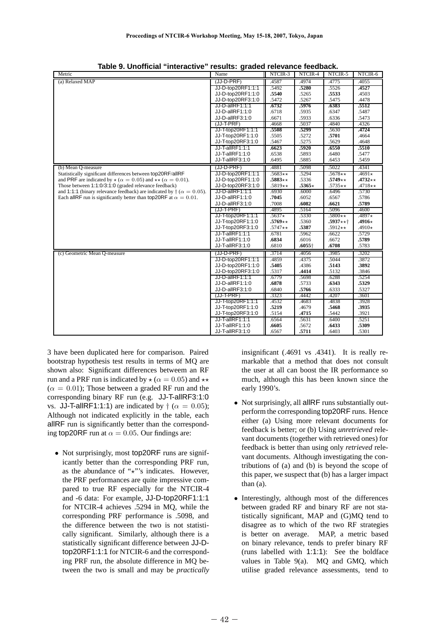| Metric                                                                                | Name                   | NTCIR-3           | NTCIR-4        | NTCIR-5   | NTCIR-6       |
|---------------------------------------------------------------------------------------|------------------------|-------------------|----------------|-----------|---------------|
| (a) Relaxed MAP                                                                       | (JJ-D-PRF)             | .4587             | .4974          | .4775     | .4055         |
|                                                                                       | JJ-D-top20RF1:1:1      | .5492             | .5280          | .5526     | .4527         |
|                                                                                       | JJ-D-top20RF1:1:0      | .5540             | .5265          | .5533     | .4503         |
|                                                                                       | JJ-D-top20RF3:1:0      | .5472             | .5267          | .5475     | .4478         |
|                                                                                       | JJ-D-allRF1:1:1        | .6732             | .5976          | .6383     | .5512         |
|                                                                                       | JJ-D-allRF1:1:0        | .6718             | .5935          | .6347     | .5487         |
|                                                                                       | JJ-D-allRF3:1:0        | .6671             | .5933          | .6336     | .5473         |
|                                                                                       | (JJ-T-PRF)             | .4668             | .5037          | .4840     | .4326         |
|                                                                                       | JJ-T-top20RF1:1:1      | .5508             | .5299          | .5630     | .4724         |
|                                                                                       | JJ-T-top20RF1:1:0      | .5505             | .5272          | .5701     | .4664         |
|                                                                                       | JJ-T-top20RF3:1:0      | .5467             | .5275          | .5629     | .4648         |
|                                                                                       | JJ-T-allRF1:1:1        | .6623             | .5920          | .6550     | .5510         |
|                                                                                       | JJ-T-allRF1:1:0        | .6538             | .5893          | .6480     | .5477         |
|                                                                                       | JJ-T-allRF3:1:0        | .6495             | .5885          | .6453     | .5459         |
| (b) Mean Q-measure                                                                    | (JJ-D-PRF)             | .4881             | .5098          | .5022     | .4341         |
| Statistically significant differences between top20RF/allRF                           | JJ-D-top20RF1:1:1      | $.5683**$         | .5294          | $.5678**$ | $.4691*$      |
| and PRF are indicated by $\star (\alpha = 0.05)$ and $\star \star (\alpha = 0.01)$ .  | JJ-D-top20RF1:1:0      | $.5883\star\star$ | .5336          | $.5749**$ | $.4732**$     |
| Those between 1:1:0/3:1:0 (graded relevance feedback)                                 | JJ-D-top20RF3:1:0      | $.5819**$         | $.5365*$       | $.5735**$ | $.4718**$     |
| and 1:1:1 (binary relevance feedback) are indicated by $\dagger$ ( $\alpha = 0.05$ ). | <b>JJ-D-allRF1:1:1</b> | .6930             | .6000          | .6496     | .5730         |
| Each all RF run is significantly better than top 20RF at $\alpha = 0.01$ .            | JJ-D-allRF1:1:0        | .7045             | .6052          | .6567     | .5786         |
|                                                                                       | JJ-D-allRF3:1:0        | .7008             | .6082          | .6621     | .5789         |
|                                                                                       | (JJ-T-PRF)             | .4895             | .5164          | .5096     | .4600         |
|                                                                                       | JJ-T-top20RF1:1:1      | $.5637*$          | .5330          | $.5800**$ | $.4897*$      |
|                                                                                       | JJ-T-top20RF1:1:0      | $.5769**$         | .5360          | $.5937**$ | $.4916 \star$ |
|                                                                                       | JJ-T-top20RF3:1:0      | $.5747**$         | .5387          | $.5912**$ | .4910 $\star$ |
|                                                                                       | JJ-T-allRF1:1:1        | .6781             | .5962          | .6622     | .5729         |
|                                                                                       | JJ-T-allRF1:1:0        | .6834             | .6016          | .6672     | .5789         |
|                                                                                       | JJ-T-allRF3:1:0        | .6810             | $.6055\dagger$ | .6708     | .5783         |
| (c) Geometric Mean Q-measure                                                          | (JJ-D-PRF)             | .3714             | .4056          | .3985     | .3202         |
|                                                                                       | JJ-D-top20RF1:1:1      | .4859             | .4375          | .5044     | .3872         |
|                                                                                       | JJ-D-top20RF1:1:0      | .5405             | .4386          | .5143     | .3892         |
|                                                                                       | JJ-D-top20RF3:1:0      | .5317             | .4414          | .5132     | .3846         |
|                                                                                       | JJ-D-allRF1:1:1        | .6779             | .5698          | .6288     | .5254         |
|                                                                                       | JJ-D-allRF1:1:0        | .6878             | .5733          | .6343     | .5329         |
|                                                                                       | JJ-D-allRF3:1:0        | .6840             | .5766          | .6333     | .5327         |
|                                                                                       | (JJ-T-PRF)             | .3323             | .4442          | .4207     | .3601         |
|                                                                                       | JJ-T-top20RF1:1:1      | .4532             | .4683          | .4838     | .3928         |
|                                                                                       | JJ-T-top20RF1:1:0      | .5219             | .4679          | .5468     | .3935         |
|                                                                                       | JJ-T-top20RF3:1:0      | .5154             | .4715          | .5442     | .3921         |
|                                                                                       | JJ-T-allRF1:1:1        | .6564             | .5631          | .6400     | .5251         |
|                                                                                       | JJ-T-allRF1:1:0        | .6605             | .5672          | .6433     | .5309         |
|                                                                                       | JJ-T-allRF3:1:0        | .6567             | .5711          | .6403     | .5301         |

| Table 9. Unofficial "interactive" results: graded relevance feedback. |  |  |  |
|-----------------------------------------------------------------------|--|--|--|
|-----------------------------------------------------------------------|--|--|--|

3 have been duplicated here for comparison. Paired bootstrap hypothesis test results in terms of MQ are shown also: Significant differences betweem an RF run and a PRF run is indicated by  $\star (\alpha = 0.05)$  and  $\star \star$  $(\alpha = 0.01)$ ; Those between a graded RF run and the corresponding binary RF run (e.g. JJ-T-allRF3:1:0 vs. JJ-T-allRF1:1:1) are indicated by  $\dagger$  ( $\alpha = 0.05$ ); Although not indicated explicitly in the table, each allRF run is significantly better than the corresponding top20RF run at  $\alpha = 0.05$ . Our findings are:

• Not surprisingly, most top20RF runs are significantly better than the corresponding PRF run, as the abundance of " $x$ "'s indicates. However, the PRF performances are quite impressive compared to true RF especially for the NTCIR-4 and -6 data: For example, JJ-D-top20RF1:1:1 for NTCIR-4 achieves .5294 in MQ, while the corresponding PRF performance is .5098, and the difference between the two is not statistically significant. Similarly, although there is a statistically significant difference between JJ-Dtop20RF1:1:1 for NTCIR-6 and the corresponding PRF run, the absolute difference in MQ between the two is small and may be *practically* insignificant (.4691 vs .4341). It is really remarkable that a method that does not consult the user at all can boost the IR performance so much, although this has been known since the early 1990's.

- Not surprisingly, all allRF runs substantially outperform the corresponding top20RF runs. Hence either (a) Using more relevant documents for feedback is better; or (b) Using *unretrieved* relevant documents (together with retrieved ones) for feedback is better than using only *retrieved* relevant documents. Although investigating the contributions of (a) and (b) is beyond the scope of this paper, we suspect that (b) has a larger impact than (a).
- Interestingly, although most of the differences between graded RF and binary RF are not statistically significant, MAP and (G)MQ tend to disagree as to which of the two RF strategies is better on average. MAP, a metric based on binary relevance, tends to prefer binary RF (runs labelled with 1:1:1): See the boldface values in Table 9(a). MQ and GMQ, which utilise graded relevance assessments, tend to